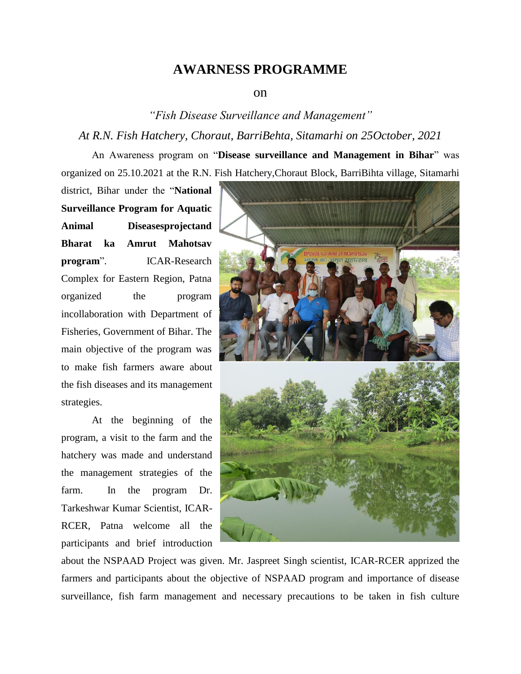## **AWARNESS PROGRAMME**

## on

*"Fish Disease Surveillance and Management" At R.N. Fish Hatchery, Choraut, BarriBehta, Sitamarhi on 25October, 2021*

An Awareness program on "**Disease surveillance and Management in Bihar**" was organized on 25.10.2021 at the R.N. Fish Hatchery,Choraut Block, BarriBihta village, Sitamarhi

district, Bihar under the "**National Surveillance Program for Aquatic Animal Diseasesprojectand Bharat ka Amrut Mahotsav program**". ICAR-Research Complex for Eastern Region, Patna organized the program incollaboration with Department of Fisheries, Government of Bihar. The main objective of the program was to make fish farmers aware about the fish diseases and its management strategies.

At the beginning of the program, a visit to the farm and the hatchery was made and understand the management strategies of the farm. In the program Dr. Tarkeshwar Kumar Scientist, ICAR-RCER, Patna welcome all the participants and brief introduction



about the NSPAAD Project was given. Mr. Jaspreet Singh scientist, ICAR-RCER apprized the farmers and participants about the objective of NSPAAD program and importance of disease surveillance, fish farm management and necessary precautions to be taken in fish culture